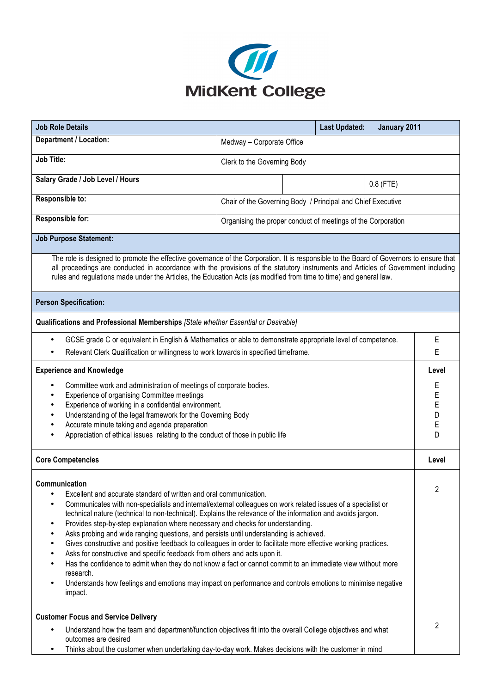

| <b>Job Role Details</b>                                                                                                                                                                                                                                                                                                                                                                                                                                                                                                                                                                                                                                                                                                                                                                                                                                                                                                                                                             |                                                              |  | <b>Last Updated:</b> | January 2011          |              |
|-------------------------------------------------------------------------------------------------------------------------------------------------------------------------------------------------------------------------------------------------------------------------------------------------------------------------------------------------------------------------------------------------------------------------------------------------------------------------------------------------------------------------------------------------------------------------------------------------------------------------------------------------------------------------------------------------------------------------------------------------------------------------------------------------------------------------------------------------------------------------------------------------------------------------------------------------------------------------------------|--------------------------------------------------------------|--|----------------------|-----------------------|--------------|
| Department / Location:                                                                                                                                                                                                                                                                                                                                                                                                                                                                                                                                                                                                                                                                                                                                                                                                                                                                                                                                                              | Medway - Corporate Office                                    |  |                      |                       |              |
| <b>Job Title:</b>                                                                                                                                                                                                                                                                                                                                                                                                                                                                                                                                                                                                                                                                                                                                                                                                                                                                                                                                                                   | Clerk to the Governing Body                                  |  |                      |                       |              |
| Salary Grade / Job Level / Hours                                                                                                                                                                                                                                                                                                                                                                                                                                                                                                                                                                                                                                                                                                                                                                                                                                                                                                                                                    |                                                              |  |                      | $0.8$ (FTE)           |              |
| Responsible to:                                                                                                                                                                                                                                                                                                                                                                                                                                                                                                                                                                                                                                                                                                                                                                                                                                                                                                                                                                     | Chair of the Governing Body / Principal and Chief Executive  |  |                      |                       |              |
| Responsible for:                                                                                                                                                                                                                                                                                                                                                                                                                                                                                                                                                                                                                                                                                                                                                                                                                                                                                                                                                                    | Organising the proper conduct of meetings of the Corporation |  |                      |                       |              |
| <b>Job Purpose Statement:</b>                                                                                                                                                                                                                                                                                                                                                                                                                                                                                                                                                                                                                                                                                                                                                                                                                                                                                                                                                       |                                                              |  |                      |                       |              |
| The role is designed to promote the effective governance of the Corporation. It is responsible to the Board of Governors to ensure that<br>all proceedings are conducted in accordance with the provisions of the statutory instruments and Articles of Government including<br>rules and regulations made under the Articles, the Education Acts (as modified from time to time) and general law.                                                                                                                                                                                                                                                                                                                                                                                                                                                                                                                                                                                  |                                                              |  |                      |                       |              |
| <b>Person Specification:</b>                                                                                                                                                                                                                                                                                                                                                                                                                                                                                                                                                                                                                                                                                                                                                                                                                                                                                                                                                        |                                                              |  |                      |                       |              |
| Qualifications and Professional Memberships [State whether Essential or Desirable]                                                                                                                                                                                                                                                                                                                                                                                                                                                                                                                                                                                                                                                                                                                                                                                                                                                                                                  |                                                              |  |                      |                       |              |
| GCSE grade C or equivalent in English & Mathematics or able to demonstrate appropriate level of competence.<br>$\bullet$<br>Relevant Clerk Qualification or willingness to work towards in specified timeframe.                                                                                                                                                                                                                                                                                                                                                                                                                                                                                                                                                                                                                                                                                                                                                                     |                                                              |  |                      |                       | Е<br>E       |
|                                                                                                                                                                                                                                                                                                                                                                                                                                                                                                                                                                                                                                                                                                                                                                                                                                                                                                                                                                                     |                                                              |  |                      |                       |              |
| <b>Experience and Knowledge</b>                                                                                                                                                                                                                                                                                                                                                                                                                                                                                                                                                                                                                                                                                                                                                                                                                                                                                                                                                     |                                                              |  |                      |                       | Level<br>E   |
| Committee work and administration of meetings of corporate bodies.<br>$\bullet$<br>Experience of organising Committee meetings<br>$\bullet$<br>Experience of working in a confidential environment.<br>$\bullet$<br>Understanding of the legal framework for the Governing Body<br>$\bullet$<br>Accurate minute taking and agenda preparation<br>$\bullet$<br>Appreciation of ethical issues relating to the conduct of those in public life                                                                                                                                                                                                                                                                                                                                                                                                                                                                                                                                        |                                                              |  |                      | E<br>E<br>D<br>E<br>D |              |
| <b>Core Competencies</b>                                                                                                                                                                                                                                                                                                                                                                                                                                                                                                                                                                                                                                                                                                                                                                                                                                                                                                                                                            |                                                              |  |                      |                       | Level        |
| Communication<br>Excellent and accurate standard of written and oral communication.<br>Communicates with non-specialists and internal/external colleagues on work related issues of a specialist or<br>technical nature (technical to non-technical). Explains the relevance of the information and avoids jargon.<br>Provides step-by-step explanation where necessary and checks for understanding.<br>٠<br>Asks probing and wide ranging questions, and persists until understanding is achieved.<br>$\bullet$<br>Gives constructive and positive feedback to colleagues in order to facilitate more effective working practices.<br>$\bullet$<br>Asks for constructive and specific feedback from others and acts upon it.<br>Has the confidence to admit when they do not know a fact or cannot commit to an immediate view without more<br>research.<br>Understands how feelings and emotions may impact on performance and controls emotions to minimise negative<br>impact. |                                                              |  |                      |                       | 2            |
| <b>Customer Focus and Service Delivery</b><br>Understand how the team and department/function objectives fit into the overall College objectives and what<br>outcomes are desired<br>Thinks about the customer when undertaking day-to-day work. Makes decisions with the customer in mind                                                                                                                                                                                                                                                                                                                                                                                                                                                                                                                                                                                                                                                                                          |                                                              |  |                      |                       | $\mathbf{2}$ |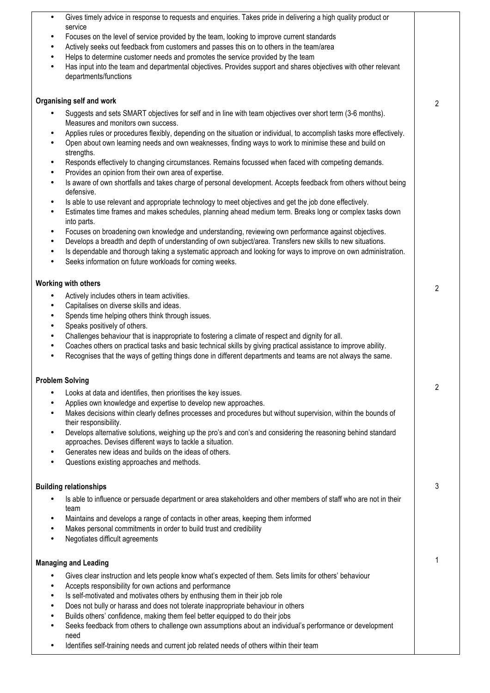| Gives timely advice in response to requests and enquiries. Takes pride in delivering a high quality product or<br>$\bullet$                                                                                                                                            |                |
|------------------------------------------------------------------------------------------------------------------------------------------------------------------------------------------------------------------------------------------------------------------------|----------------|
| service<br>Focuses on the level of service provided by the team, looking to improve current standards<br>$\bullet$                                                                                                                                                     |                |
| Actively seeks out feedback from customers and passes this on to others in the team/area<br>$\bullet$                                                                                                                                                                  |                |
| Helps to determine customer needs and promotes the service provided by the team<br>$\bullet$                                                                                                                                                                           |                |
| Has input into the team and departmental objectives. Provides support and shares objectives with other relevant<br>$\bullet$<br>departments/functions                                                                                                                  |                |
| Organising self and work                                                                                                                                                                                                                                               | 2              |
| Suggests and sets SMART objectives for self and in line with team objectives over short term (3-6 months).<br>$\bullet$<br>Measures and monitors own success.                                                                                                          |                |
| Applies rules or procedures flexibly, depending on the situation or individual, to accomplish tasks more effectively.<br>$\bullet$<br>Open about own learning needs and own weaknesses, finding ways to work to minimise these and build on<br>$\bullet$<br>strengths. |                |
| Responds effectively to changing circumstances. Remains focussed when faced with competing demands.<br>$\bullet$<br>Provides an opinion from their own area of expertise.<br>$\bullet$                                                                                 |                |
| Is aware of own shortfalls and takes charge of personal development. Accepts feedback from others without being<br>$\bullet$<br>defensive.                                                                                                                             |                |
| Is able to use relevant and appropriate technology to meet objectives and get the job done effectively.<br>$\bullet$<br>Estimates time frames and makes schedules, planning ahead medium term. Breaks long or complex tasks down<br>$\bullet$<br>into parts.           |                |
| Focuses on broadening own knowledge and understanding, reviewing own performance against objectives.<br>$\bullet$<br>Develops a breadth and depth of understanding of own subject/area. Transfers new skills to new situations.<br>$\bullet$                           |                |
| Is dependable and thorough taking a systematic approach and looking for ways to improve on own administration.<br>$\bullet$<br>Seeks information on future workloads for coming weeks.<br>$\bullet$                                                                    |                |
| Working with others                                                                                                                                                                                                                                                    | 2              |
| Actively includes others in team activities.<br>$\bullet$<br>$\bullet$                                                                                                                                                                                                 |                |
| Capitalises on diverse skills and ideas.<br>Spends time helping others think through issues.<br>$\bullet$                                                                                                                                                              |                |
| Speaks positively of others.<br>$\bullet$                                                                                                                                                                                                                              |                |
| Challenges behaviour that is inappropriate to fostering a climate of respect and dignity for all.<br>$\bullet$                                                                                                                                                         |                |
| Coaches others on practical tasks and basic technical skills by giving practical assistance to improve ability.<br>$\bullet$<br>Recognises that the ways of getting things done in different departments and teams are not always the same.<br>$\bullet$               |                |
| <b>Problem Solving</b>                                                                                                                                                                                                                                                 | $\overline{c}$ |
| Looks at data and identifies, then prioritises the key issues.<br>$\bullet$                                                                                                                                                                                            |                |
| Applies own knowledge and expertise to develop new approaches.<br>$\bullet$<br>Makes decisions within clearly defines processes and procedures but without supervision, within the bounds of<br>$\bullet$<br>their responsibility.                                     |                |
| Develops alternative solutions, weighing up the pro's and con's and considering the reasoning behind standard<br>$\bullet$                                                                                                                                             |                |
| approaches. Devises different ways to tackle a situation.<br>Generates new ideas and builds on the ideas of others.<br>$\bullet$                                                                                                                                       |                |
| Questions existing approaches and methods.<br>$\bullet$                                                                                                                                                                                                                |                |
| <b>Building relationships</b>                                                                                                                                                                                                                                          | 3              |
| Is able to influence or persuade department or area stakeholders and other members of staff who are not in their<br>٠                                                                                                                                                  |                |
| team<br>Maintains and develops a range of contacts in other areas, keeping them informed<br>$\bullet$                                                                                                                                                                  |                |
| Makes personal commitments in order to build trust and credibility<br>$\bullet$<br>Negotiates difficult agreements<br>$\bullet$                                                                                                                                        |                |
| <b>Managing and Leading</b>                                                                                                                                                                                                                                            |                |
| Gives clear instruction and lets people know what's expected of them. Sets limits for others' behaviour<br>$\bullet$                                                                                                                                                   |                |
| Accepts responsibility for own actions and performance<br>$\bullet$<br>Is self-motivated and motivates others by enthusing them in their job role<br>$\bullet$                                                                                                         |                |
| Does not bully or harass and does not tolerate inappropriate behaviour in others<br>٠                                                                                                                                                                                  |                |
| Builds others' confidence, making them feel better equipped to do their jobs<br>$\bullet$                                                                                                                                                                              |                |
| Seeks feedback from others to challenge own assumptions about an individual's performance or development<br>$\bullet$<br>need                                                                                                                                          |                |
| Identifies self-training needs and current job related needs of others within their team<br>$\bullet$                                                                                                                                                                  |                |